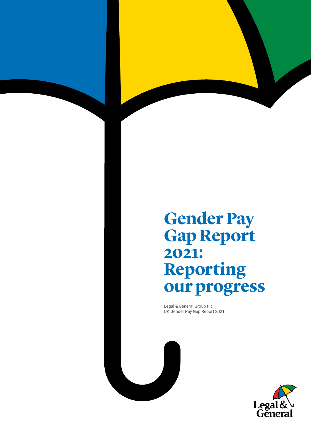# **Gender Pay Gap Report 2021: Reporting our progress**

Legal & General Group Plc UK Gender Pay Gap Report 2021

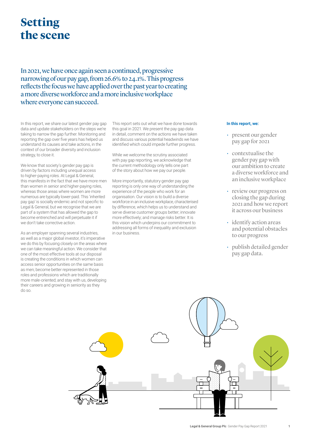## **Setting the scene**

In 2021, we have once again seen a continued, progressive narrowing of our pay gap, from 26.6% to 24.1%. This progress reflects the focus we have applied over the past year to creating a more diverse workforce and a more inclusive workplace where everyone can succeed.

In this report, we share our latest gender pay gap data and update stakeholders on the steps we're taking to narrow the gap further. Monitoring and reporting the gap over five years has helped us understand its causes and take actions, in the context of our broader diversity and inclusion strategy, to close it.

We know that society's gender pay gap is driven by factors including unequal access to higher-paying roles. At Legal & General, this manifests in the fact that we have more men than women in senior and higher-paying roles, whereas those areas where women are more numerous are typically lower-paid. This 'inherited pay gap' is socially endemic and not specific to Legal & General, but we recognise that we are part of a system that has allowed the gap to become entrenched and will perpetuate it if we don't take corrective action.

As an employer spanning several industries, as well as a major global investor, it's imperative we do this by focusing closely on the areas where we can take meaningful action. We consider that one of the most effective tools at our disposal is creating the conditions in which women can access senior opportunities on the same basis as men; become better represented in those roles and professions which are traditionally more male-oriented; and stay with us, developing their careers and growing in seniority as they do so.

This report sets out what we have done towards this goal in 2021. We present the pay gap data in detail, comment on the actions we have taken and discuss various potential headwinds we have identified which could impede further progress.

While we welcome the scrutiny associated with pay gap reporting, we acknowledge that the current methodology only tells one part of the story about how we pay our people.

More importantly, statutory gender pay gap reporting is only one way of understanding the experience of the people who work for an organisation. Our vision is to build a diverse workforce in an inclusive workplace, characterised by difference, which helps us to understand and serve diverse customer groups better; innovate more effectively; and manage risks better. It is this vision which underpins our commitment to addressing all forms of inequality and exclusion in our business.

#### **In this report, we:**

- present our gender pay gap for 2021
- contextualise the gender pay gap with our ambition to create a diverse workforce and an inclusive workplace
- review our progress on closing the gap during 2021 and how we report it across our business
- identify action areas and potential obstacles to our progress
- publish detailed gender pay gap data.

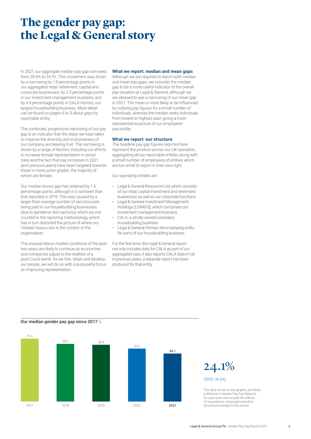## **The gender pay gap: the Legal & General story**

In 2021, our aggregate median pay gap narrowed, from 26.6% to 24.1%. This movement was driven by a narrowing by 1.9 percentage points in our aggregated retail, retirement, capital and corporate businesses; by 2.3 percentage points in our investment management business; and by 4.4 percentage points in CALA Homes, our largest housebuilding business. More detail can be found on pages 6 to 9 about gaps by reportable entity.

The continued, progressive narrowing of our pay gap is an indicator that the steps we have taken to improve the diversity and inclusiveness of our company are bearing fruit. The narrowing is driven by a range of factors, including our efforts to increase female representation in senior roles and the fact that pay increases in 2021 (and previous years) have been targeted towards those in more junior grades, the majority of whom are female.

Our median bonus gap has widened by 1.5 percentage points, although it is narrower than that reported in 2019. This was caused by a larger-than-average number of zero bonuses being paid in our housebuilding businesses (due to pandemic-led inactivity) which are not counted in the reporting methodology, which has in turn distorted the picture of where our 'median' bonus sits in the context of the organisation

The unusual labour market conditions of the past two years are likely to continue as economies and companies adjust to the realities of a post-Covid world. As we hire, retain and develop our people, we will do so with a purposeful focus on improving representation.

#### **What we report: median and mean gaps**

Although we are required to report both median and mean pay gaps, we consider the median gap to be a more useful indicator of the overall pay situation at Legal & General, although we are pleased to see a narrowing of our mean gap in 2021. The mean is more likely to be influenced by outlying pay figures for a small number of individuals, whereas the median ranks individuals from lowest to highest-paid, giving a more representative picture of our employees' pay profile.

#### **What we report: our structure**

The headline pay gap figures reported here represent the position across our UK operation, aggregating all our reportable entities along with a small number of employees of entities which are too small to report in their own right.

Our operating entities are:

- Legal & General Resources Ltd, which consists of our retail, capital investment and retirement businesses as well as our corporate functions
- Legal & General Investment Management Holdings (LGIM(H)), which comprises our investment management business
- CALA, a wholly-owned subsidiary housebuilding business
- Legal & General Homes, the employing entity for parts of our housebuilding business.

For the first time, the Legal & General report not only includes data for CALA as part of our aggregated view, it also reports CALA data in full. In previous years, a separate report has been produced for that entity.





The data shown in this graphic are those published in Gender Pay Gap Reports for each year and include the effects of acquisitions, disposals and other structural changes in the period.

#### **Our median gender pay gap since 2017** %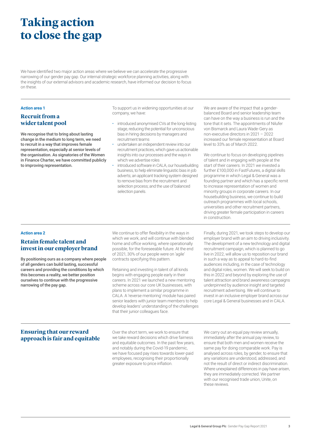## **Taking action to close the gap**

We have identified two major action areas where we believe we can accelerate the progressive narrowing of our gender pay gap. Our internal strategic workforce planning activities, along with the insights of our external advisors and academic research, have informed our decision to focus on these.

#### **Action area 1**

#### **Recruit from a wider talent pool**

We recognise that to bring about lasting change in the medium to long term, we need to recruit in a way that improves female representation, especially at senior levels of the organisation. As signatories of the Women in Finance Charter, we have committed publicly to improving representation.

To support us in widening opportunities at our company, we have:

- introduced anonymised CVs at the long-listing stage, reducing the potential for unconscious bias in hiring decisions by managers and recruitment teams
- undertaken an independent review into our recruitment practices, which gave us actionable insights into our processes and the ways in which we advertise roles
- introduced software in CALA, our housebuilding business, to help eliminate linguistic bias in job adverts; an applicant tracking system designed to remove bias from the recruitment and selection process; and the use of balanced selection panels.

We are aware of the impact that a genderbalanced Board and senior leadership team can have on the way a business is run and the tone that it sets. The appointments of Nilufer von Bismarck and Laura Wade-Gery as non-executive directors in 2021 – 2022 increased our female representation at Board level to 33% as of March 2022.

We continue to focus on developing pipelines of talent and in engaging with people at the start of their careers. In 2021 we invested a further £100,000 in FastFutures, a digital skills programme in which Legal & General was a founding partner and which has a specific remit to increase representation of women and minority groups in corporate careers. In our housebuilding business, we continue to build outreach programmes with local schools, universities and other recruitment partners, driving greater female participation in careers in construction.

#### **Action area 2**

#### **Retain female talent and invest in our employer brand**

By positioning ours as a company where people of all genders can build lasting, successful careers and providing the conditions by which this becomes a reality, we better position ourselves to continue with the progressive narrowing of the pay gap.

We continue to offer flexibility in the ways in which we work, and will continue with blended home and office working, where operationally possible, for the foreseeable future. At the end of 2021, 30% of our people were on 'agile' contracts specifying this pattern.

Retaining and investing in talent of all kinds begins with engaging people early in their careers. In 2021 we launched a new mentoring scheme across our core UK businesses, with plans to implement a similar programme in CALA. A 'reverse mentoring' module has paired senior leaders with junior team members to help develop leaders' understanding of the challenges that their junior colleagues face.

Finally, during 2021, we took steps to develop our employer brand with an aim to driving inclusivity. The development of a new technology and digital recruitment campaign, which is planned to go live in 2022, will allow us to reposition our brand in such a way as to appeal to hard-to-find audiences including, in the case of technology and digital roles, women. We will seek to build on this in 2022 and beyond by exploring the use of talent attraction and brand awareness campaigns underpinned by audience insight and targeted recruitment advertising. We will continue to invest in an inclusive employer brand across our core Legal & General businesses and in CALA.

#### **Ensuring that our reward approach is fair and equitable**

Over the short term, we work to ensure that we take reward decisions which drive fairness and equitable outcomes. In the past few years, and notably during the Covid-19 pandemic, we have focused pay rises towards lower-paid employees, recognising their proportionally greater exposure to price inflation.

We carry out an equal pay review annually, immediately after the annual pay review, to ensure that both men and women receive the same pay for doing comparable work. Pay is analysed across roles, by gender, to ensure that any variations are understood, addressed, and not the result of direct or indirect discrimination. Where unexplained differences in pay have arisen, they are immediately corrected. We partner with our recognised trade union, Unite, on these reviews.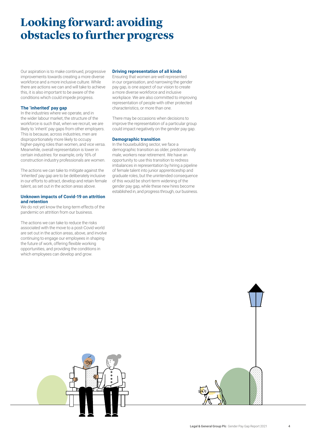## **Looking forward: avoiding obstacles to further progress**

Our aspiration is to make continued, progressive improvements towards creating a more diverse workforce and a more inclusive culture. While there are actions we can and will take to achieve this, it is also important to be aware of the conditions which could impede progress.

#### **The 'inherited' pay gap**

In the industries where we operate, and in the wider labour market, the structure of the workforce is such that, when we recruit, we are likely to 'inherit' pay gaps from other employers. This is because, across industries, men are disproportionately more likely to occupy higher-paying roles than women, and vice versa. Meanwhile, overall representation is lower in certain industries: for example, only 16% of construction industry professionals are women.

The actions we can take to mitigate against the 'inherited' pay gap are to be deliberately inclusive in our efforts to attract, develop and retain female talent, as set out in the action areas above.

#### **Unknown impacts of Covid-19 on attrition and retention**

We do not yet know the long-term effects of the pandemic on attrition from our business.

The actions we can take to reduce the risks associated with the move to a post-Covid world are set out in the action areas, above, and involve continuing to engage our employees in shaping the future of work, offering flexible working opportunities, and providing the conditions in which employees can develop and grow.

#### **Driving representation of all kinds**

Ensuring that women are well represented in our organisation, and narrowing the gender pay gap, is one aspect of our vision to create a more diverse workforce and inclusive workplace. We are also committed to improving representation of people with other protected characteristics, or more than one.

There may be occasions when decisions to improve the representation of a particular group could impact negatively on the gender pay gap.

#### **Demographic transition**

In the housebuilding sector, we face a demographic transition as older, predominantly male, workers near retirement. We have an opportunity to use this transition to redress imbalances in representation by hiring a pipeline of female talent into junior apprenticeship and graduate roles, but the unintended consequence of this would be short-term widening of the gender pay gap, while these new hires become established in, and progress through, our business.

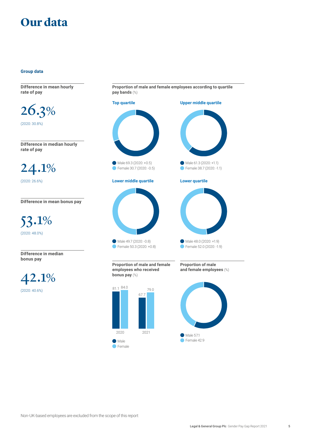## **Our data**

#### **Group data**

**Difference in mean hourly rate of pay**

26.3% (2020: 30.8%)

**Difference in median hourly rate of pay**

24.1% (2020: 26.6%)

**Difference in mean bonus pay**

53.1% (2020: 48.0%)

**Difference in median bonus pay**

42.1% (2020: 40.6%)

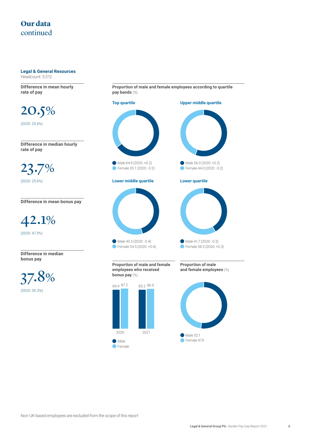#### **Legal & General Resources** Headcount: 5,512

**Difference in mean hourly rate of pay**

20.5% (2020: 25.6%)

**Difference in median hourly rate of pay**

23.7% (2020: 25.6%)

**Difference in mean bonus pay**

42.1% (2020: 47.3%)

**Difference in median bonus pay**

37.8% (2020: 35.3%)

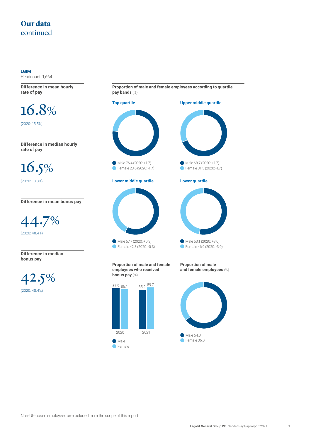**LGIM**  Headcount: 1,664

**Difference in mean hourly rate of pay**

16.8% (2020: 15.5%)

**Difference in median hourly rate of pay**

16.5% (2020: 18.8%)

**Difference in mean bonus pay**

44.7% (2020: 40.4%)

**Difference in median bonus pay**

42.5% (2020: 48.4%)



Non-UK-based employees are excluded from the scope of this report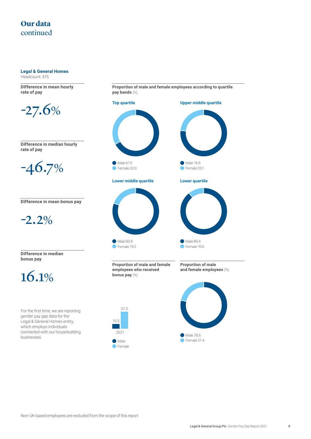**Legal & General Homes**

Headcount: 415

**Difference in mean hourly rate of pay**



**Difference in median hourly rate of pay**



**Difference in mean bonus pay**

$$
-2.2\%
$$

**Difference in median bonus pay**



For the first time, we are reporting gender pay gap data for the Legal & General Homes entity, which employs individuals connected with our housebuilding businesses.

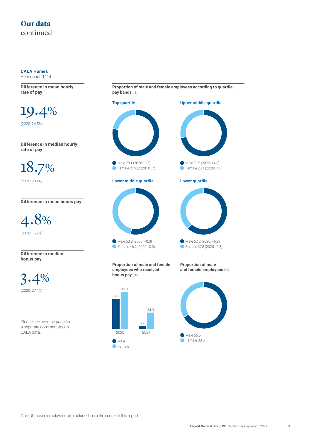#### **CALA Homes**

Headcount: 1,114

**Difference in mean hourly rate of pay**

19.4% (2020: 24.5%)

**Difference in median hourly rate of pay**

18.7% (2020: 23.1%)

**Difference in mean bonus pay**

4.8% (2020: 16.9%)

**Difference in median bonus pay**

3.4% (2020: 27.4%)

Please see over the page for a separate commentary on CALA data.



**Proportion of male and female employees according to quartile** 

**•** Female